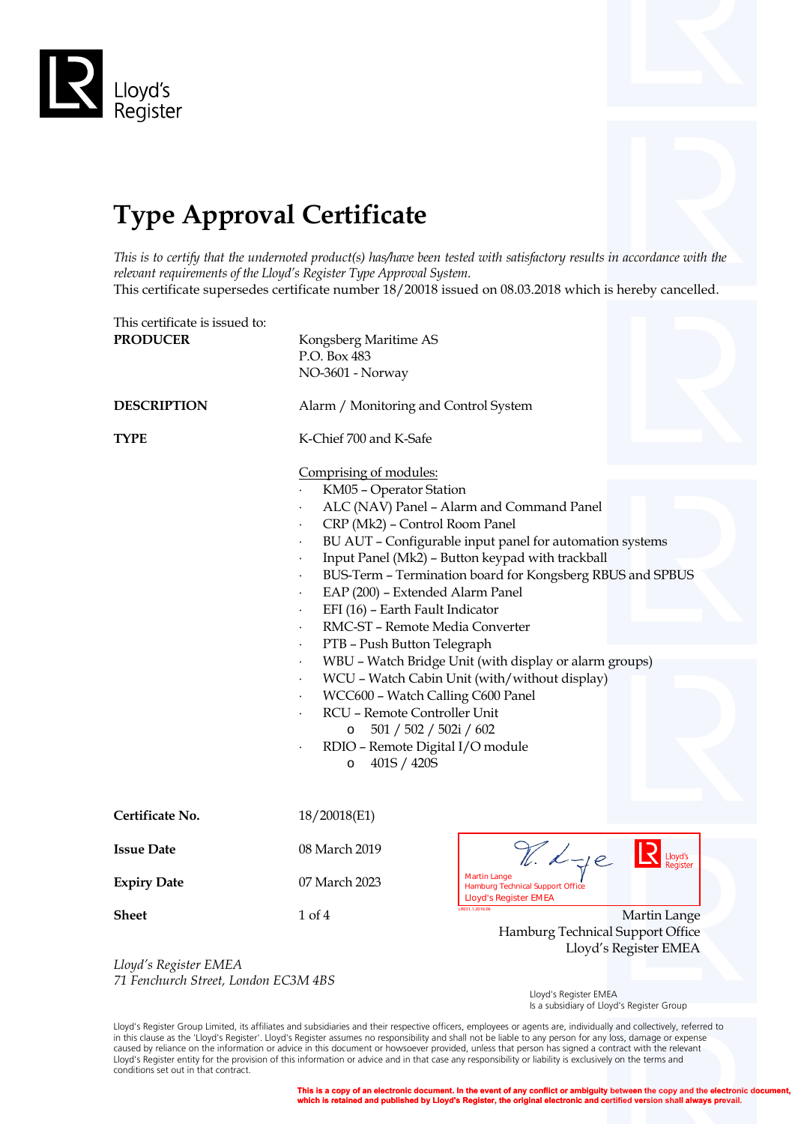

## **Type Approval Certificate**

*This is to certify that the undernoted product(s) has/have been tested with satisfactory results in accordance with the relevant requirements of the Lloyd's Register Type Approval System.*

This certificate supersedes certificate number 18/20018 issued on 08.03.2018 which is hereby cancelled.

| This certificate is issued to:<br><b>PRODUCER</b><br><b>DESCRIPTION</b><br><b>TYPE</b> | Kongsberg Maritime AS<br>P.O. Box 483<br>NO-3601 - Norway<br>Alarm / Monitoring and Control System<br>K-Chief 700 and K-Safe                                                                                                                                                                                                                                                                                                                                                                                                                                                                                                                                                                                                                            |                                                                                                |                                       |
|----------------------------------------------------------------------------------------|---------------------------------------------------------------------------------------------------------------------------------------------------------------------------------------------------------------------------------------------------------------------------------------------------------------------------------------------------------------------------------------------------------------------------------------------------------------------------------------------------------------------------------------------------------------------------------------------------------------------------------------------------------------------------------------------------------------------------------------------------------|------------------------------------------------------------------------------------------------|---------------------------------------|
|                                                                                        | Comprising of modules:<br>KM05 - Operator Station<br>ALC (NAV) Panel - Alarm and Command Panel<br>CRP (Mk2) - Control Room Panel<br>BU AUT - Configurable input panel for automation systems<br>Input Panel (Mk2) - Button keypad with trackball<br>BUS-Term - Termination board for Kongsberg RBUS and SPBUS<br>EAP (200) - Extended Alarm Panel<br>EFI (16) - Earth Fault Indicator<br>RMC-ST - Remote Media Converter<br>PTB - Push Button Telegraph<br>WBU - Watch Bridge Unit (with display or alarm groups)<br>WCU - Watch Cabin Unit (with/without display)<br>$\bullet$<br>WCC600 - Watch Calling C600 Panel<br>RCU - Remote Controller Unit<br>501 / 502 / 502i / 602<br>$\circ$<br>RDIO - Remote Digital I/O module<br>401S / 420S<br>$\circ$ |                                                                                                |                                       |
| Certificate No.                                                                        | 18/20018(E1)                                                                                                                                                                                                                                                                                                                                                                                                                                                                                                                                                                                                                                                                                                                                            |                                                                                                |                                       |
| <b>Issue Date</b>                                                                      | 08 March 2019                                                                                                                                                                                                                                                                                                                                                                                                                                                                                                                                                                                                                                                                                                                                           | V. Lye                                                                                         |                                       |
| <b>Expiry Date</b>                                                                     | 07 March 2023                                                                                                                                                                                                                                                                                                                                                                                                                                                                                                                                                                                                                                                                                                                                           | <b>Martin Lange</b><br><b>Hamburg Technical Support Office</b><br><b>Lloyd's Register EMEA</b> |                                       |
| <b>Sheet</b>                                                                           | 1 of 4                                                                                                                                                                                                                                                                                                                                                                                                                                                                                                                                                                                                                                                                                                                                                  | R031.1.2016.06<br>Hamburg Technical Support Office                                             | Martin Lange<br>Lloyd's Register EMEA |
| Lloyd's Register EMEA<br>71 Fenchurch Street, London EC3M 4BS                          |                                                                                                                                                                                                                                                                                                                                                                                                                                                                                                                                                                                                                                                                                                                                                         |                                                                                                |                                       |

 Lloyd's Register EMEA Is a subsidiary of Lloyd's Register Group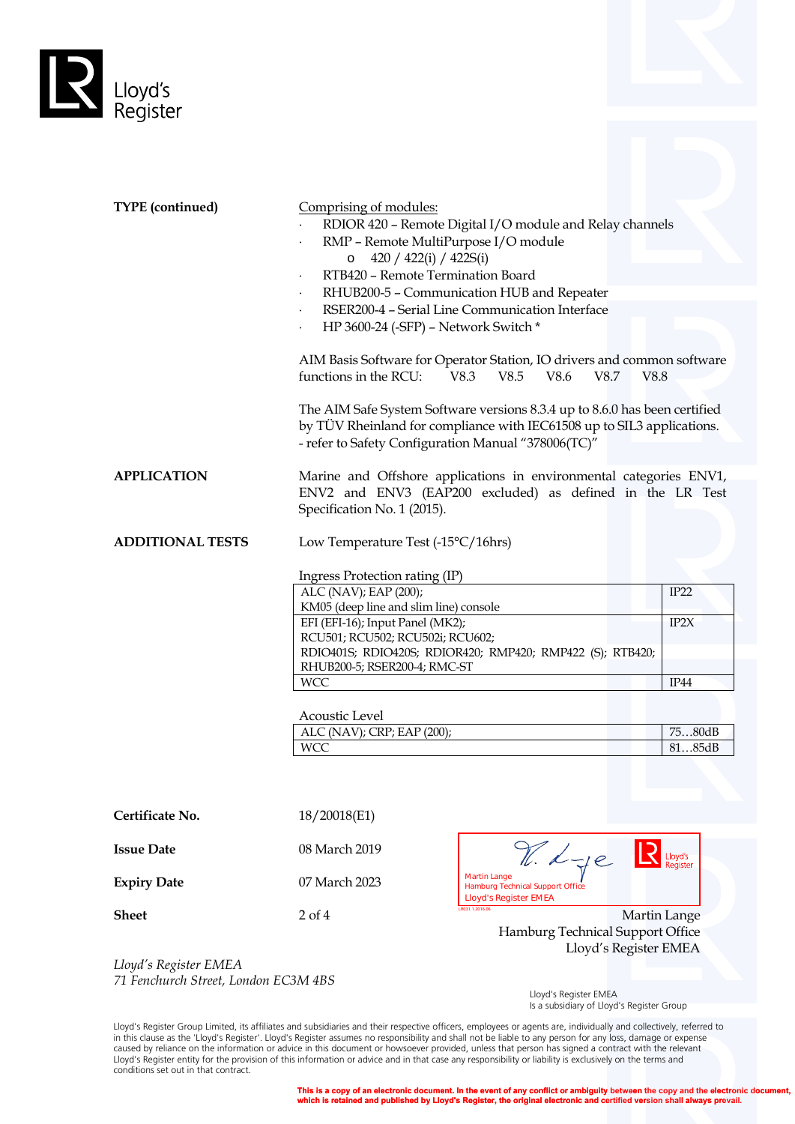

| <b>TYPE</b> (continued) | Comprising of modules:<br>RMP - Remote MultiPurpose I/O module<br>420 / 422(i) / 422S(i)<br>$\circ$<br>RTB420 - Remote Termination Board<br>$\bullet$<br>$\bullet$<br>HP 3600-24 (-SFP) - Network Switch *<br>functions in the RCU:                                                   | RDIOR 420 - Remote Digital I/O module and Relay channels<br>RHUB200-5 - Communication HUB and Repeater<br>RSER200-4 - Serial Line Communication Interface<br>AIM Basis Software for Operator Station, IO drivers and common software<br>V8.3<br>V8.5<br>V8.6<br>V8.7<br>The AIM Safe System Software versions 8.3.4 up to 8.6.0 has been certified<br>by TÜV Rheinland for compliance with IEC61508 up to SIL3 applications.<br>- refer to Safety Configuration Manual "378006(TC)" | V8.8                                     |
|-------------------------|---------------------------------------------------------------------------------------------------------------------------------------------------------------------------------------------------------------------------------------------------------------------------------------|-------------------------------------------------------------------------------------------------------------------------------------------------------------------------------------------------------------------------------------------------------------------------------------------------------------------------------------------------------------------------------------------------------------------------------------------------------------------------------------|------------------------------------------|
| <b>APPLICATION</b>      | Specification No. 1 (2015).                                                                                                                                                                                                                                                           | Marine and Offshore applications in environmental categories ENV1,<br>ENV2 and ENV3 (EAP200 excluded) as defined in the LR Test                                                                                                                                                                                                                                                                                                                                                     |                                          |
| <b>ADDITIONAL TESTS</b> | Low Temperature Test (-15°C/16hrs)                                                                                                                                                                                                                                                    |                                                                                                                                                                                                                                                                                                                                                                                                                                                                                     |                                          |
|                         | Ingress Protection rating (IP)<br>ALC (NAV); EAP (200);<br>KM05 (deep line and slim line) console<br>EFI (EFI-16); Input Panel (MK2);<br>RCU501; RCU502; RCU502i; RCU602;<br>RHUB200-5; RSER200-4; RMC-ST<br><b>WCC</b><br>Acoustic Level<br>ALC (NAV); CRP; EAP (200);<br><b>WCC</b> | RDIO401S; RDIO420S; RDIOR420; RMP420; RMP422 (S); RTB420;                                                                                                                                                                                                                                                                                                                                                                                                                           | IP22<br>IP2X<br>IP44<br>7580dB<br>8185dB |
| Certificate No.         | 18/20018(E1)                                                                                                                                                                                                                                                                          |                                                                                                                                                                                                                                                                                                                                                                                                                                                                                     |                                          |
| <b>Issue Date</b>       | 08 March 2019                                                                                                                                                                                                                                                                         | R. Lye                                                                                                                                                                                                                                                                                                                                                                                                                                                                              | Lloyd's<br>Register                      |
| <b>Expiry Date</b>      | 07 March 2023                                                                                                                                                                                                                                                                         | <b>Martin Lange</b><br>Hamburg Technical Support Office<br><b>Lloyd's Register EMEA</b>                                                                                                                                                                                                                                                                                                                                                                                             |                                          |
| <b>Sheet</b>            | $2$ of $4$                                                                                                                                                                                                                                                                            | LR031.1.2016.06<br>Hamburg Technical Support Office<br>Lloyd's Register EMEA                                                                                                                                                                                                                                                                                                                                                                                                        | Martin Lange                             |

*Lloyd's Register EMEA 71 Fenchurch Street, London EC3M 4BS*

 Lloyd's Register EMEA Is a subsidiary of Lloyd's Register Group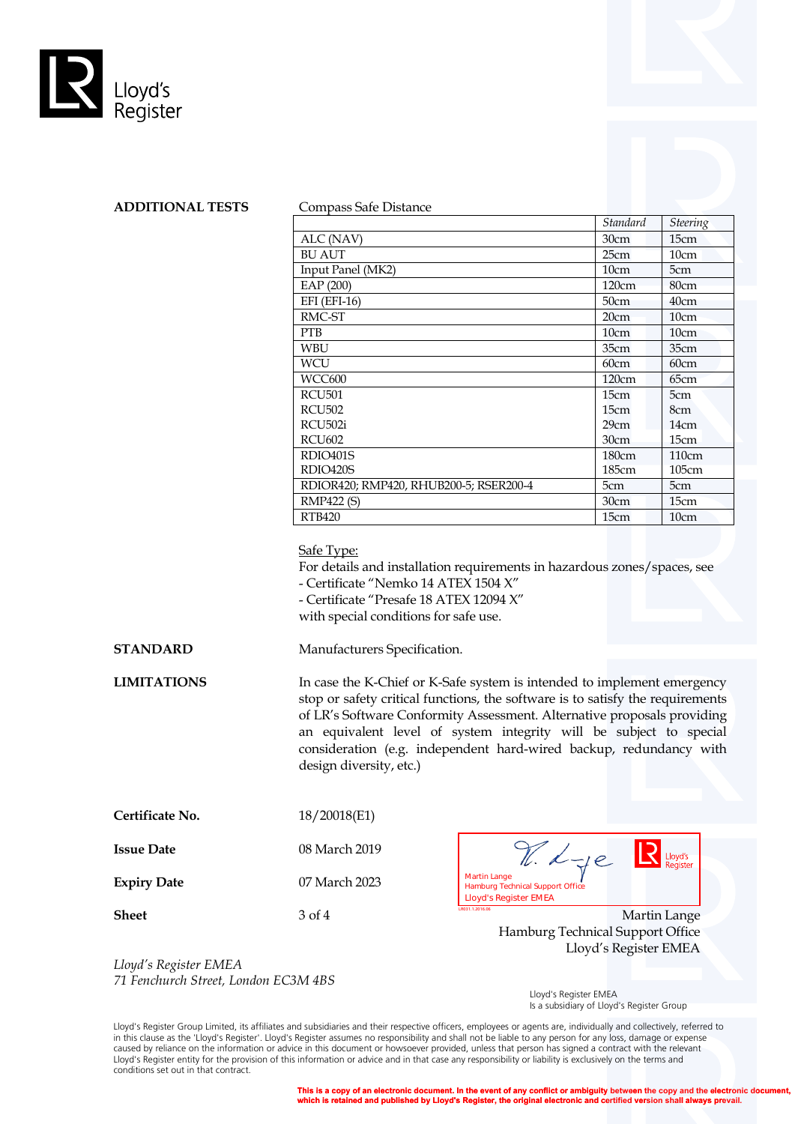



|                                        | Standard | <b>Steering</b> |
|----------------------------------------|----------|-----------------|
| ALC (NAV)                              | 30cm     | 15cm            |
| <b>BU AUT</b>                          | 25cm     | 10cm            |
| Input Panel (MK2)                      | 10cm     | 5cm             |
| EAP (200)                              | 120cm    | 80cm            |
| EFI (EFI-16)                           | 50cm     | 40cm            |
| RMC-ST                                 | 20cm     | 10cm            |
| <b>PTB</b>                             | 10cm     | 10cm            |
| <b>WBU</b>                             | 35cm     | 35cm            |
| WCU                                    | 60cm     | 60cm            |
| WCC600                                 | 120cm    | 65cm            |
| <b>RCU501</b>                          | 15cm     | 5cm             |
| <b>RCU502</b>                          | 15cm     | 8cm             |
| RCU502i                                | 29cm     | 14cm            |
| <b>RCU602</b>                          | 30cm     | 15cm            |
| RDIO401S                               | 180cm    | 110cm           |
| RDIO420S                               | 185cm    | 105cm           |
| RDIOR420; RMP420, RHUB200-5; RSER200-4 | 5cm      | 5cm             |
| <b>RMP422 (S)</b>                      | 30cm     | 15cm            |
| <b>RTB420</b>                          | 15cm     | 10cm            |

## Safe Type:

For details and installation requirements in hazardous zones/spaces, see - Certificate "Nemko 14 ATEX 1504 X"

- Certificate "Presafe 18 ATEX 12094 X"

with special conditions for safe use.

**STANDARD** Manufacturers Specification.

**LIMITATIONS** In case the K-Chief or K-Safe system is intended to implement emergency stop or safety critical functions, the software is to satisfy the requirements of LR's Software Conformity Assessment. Alternative proposals providing an equivalent level of system integrity will be subject to special consideration (e.g. independent hard-wired backup, redundancy with design diversity, etc.)

| Certificate No. | 18/20018(E1) |
|-----------------|--------------|
|-----------------|--------------|

| Issue Date         | 08 March 2019 | $-10$                                                                                          | Lloyd's<br>Register |
|--------------------|---------------|------------------------------------------------------------------------------------------------|---------------------|
| <b>Expiry Date</b> | 07 March 2023 | <b>Martin Lange</b><br><b>Hamburg Technical Support Office</b><br><b>Lloyd's Register EMEA</b> |                     |
| Sheet              | 3 of 4        | LR031.1.2016.06                                                                                | Martin Lange        |

Hamburg Technical Support Office Lloyd's Register EMEA

*Lloyd's Register EMEA 71 Fenchurch Street, London EC3M 4BS*

 Lloyd's Register EMEA Is a subsidiary of Lloyd's Register Group